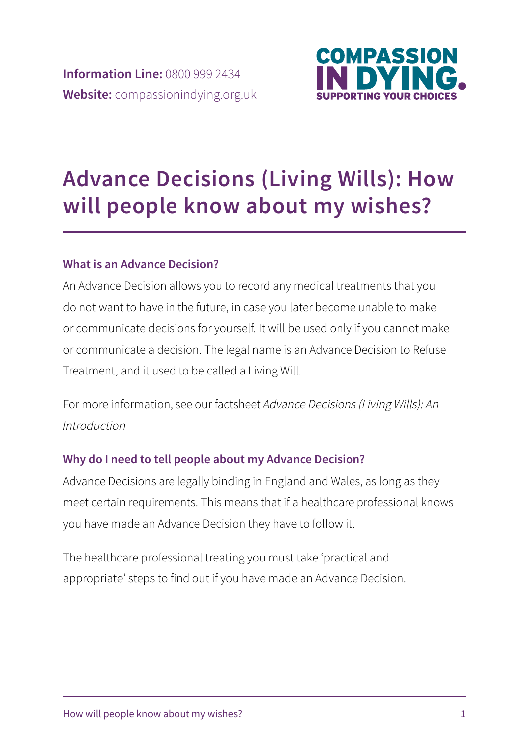

# **Advance Decisions (Living Wills): How will people know about my wishes?**

### **What is an Advance Decision?**

An Advance Decision allows you to record any medical treatments that you do not want to have in the future, in case you later become unable to make or communicate decisions for yourself. It will be used only if you cannot make or communicate a decision. The legal name is an Advance Decision to Refuse Treatment, and it used to be called a Living Will.

For more information, see our factsheet Advance Decisions (Living Wills): An Introduction

### **Why do I need to tell people about my Advance Decision?**

Advance Decisions are legally binding in England and Wales, as long as they meet certain requirements. This means that if a healthcare professional knows you have made an Advance Decision they have to follow it.

The healthcare professional treating you must take 'practical and appropriate' steps to find out if you have made an Advance Decision.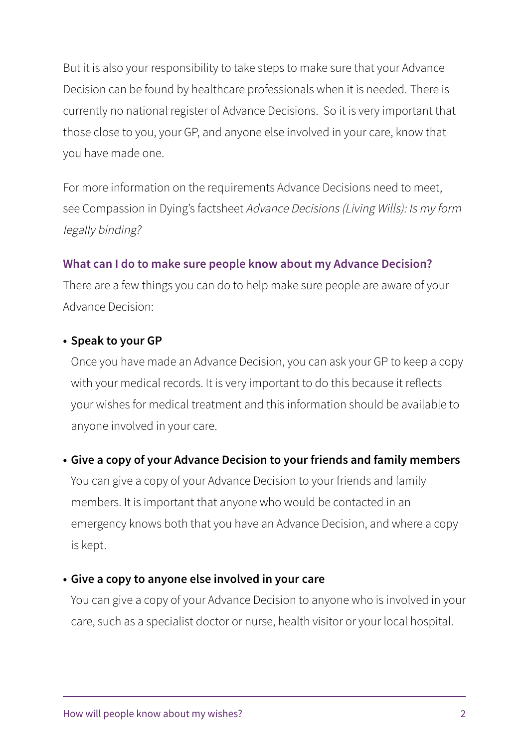But it is also your responsibility to take steps to make sure that your Advance Decision can be found by healthcare professionals when it is needed. There is currently no national register of Advance Decisions. So it is very important that those close to you, your GP, and anyone else involved in your care, know that you have made one.

For more information on the requirements Advance Decisions need to meet, see Compassion in Dying's factsheet Advance Decisions (Living Wills): Is my form legally binding?

#### **What can I do to make sure people know about my Advance Decision?**

There are a few things you can do to help make sure people are aware of your Advance Decision:

#### **• Speak to your GP**

Once you have made an Advance Decision, you can ask your GP to keep a copy with your medical records. It is very important to do this because it reflects your wishes for medical treatment and this information should be available to anyone involved in your care.

#### **• Give a copy of your Advance Decision to your friends and family members**

You can give a copy of your Advance Decision to your friends and family members. It is important that anyone who would be contacted in an emergency knows both that you have an Advance Decision, and where a copy is kept.

#### **• Give a copy to anyone else involved in your care**

You can give a copy of your Advance Decision to anyone who is involved in your care, such as a specialist doctor or nurse, health visitor or your local hospital.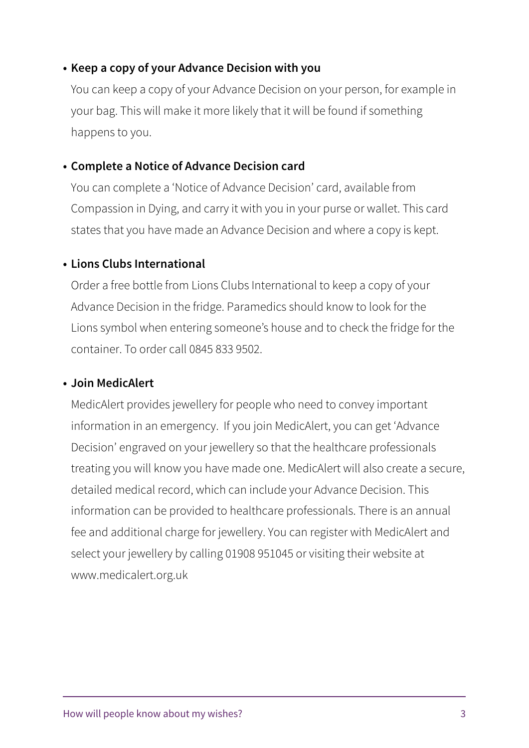#### **• Keep a copy of your Advance Decision with you**

You can keep a copy of your Advance Decision on your person, for example in your bag. This will make it more likely that it will be found if something happens to you.

#### **• Complete a Notice of Advance Decision card**

You can complete a 'Notice of Advance Decision' card, available from Compassion in Dying, and carry it with you in your purse or wallet. This card states that you have made an Advance Decision and where a copy is kept.

#### **• Lions Clubs International**

Order a free bottle from Lions Clubs International to keep a copy of your Advance Decision in the fridge. Paramedics should know to look for the Lions symbol when entering someone's house and to check the fridge for the container. To order call 0845 833 9502.

#### **• Join MedicAlert**

MedicAlert provides jewellery for people who need to convey important information in an emergency. If you join MedicAlert, you can get 'Advance Decision' engraved on your jewellery so that the healthcare professionals treating you will know you have made one. MedicAlert will also create a secure, detailed medical record, which can include your Advance Decision. This information can be provided to healthcare professionals. There is an annual fee and additional charge for jewellery. You can register with MedicAlert and select your jewellery by calling 01908 951045 or visiting their website at www.medicalert.org.uk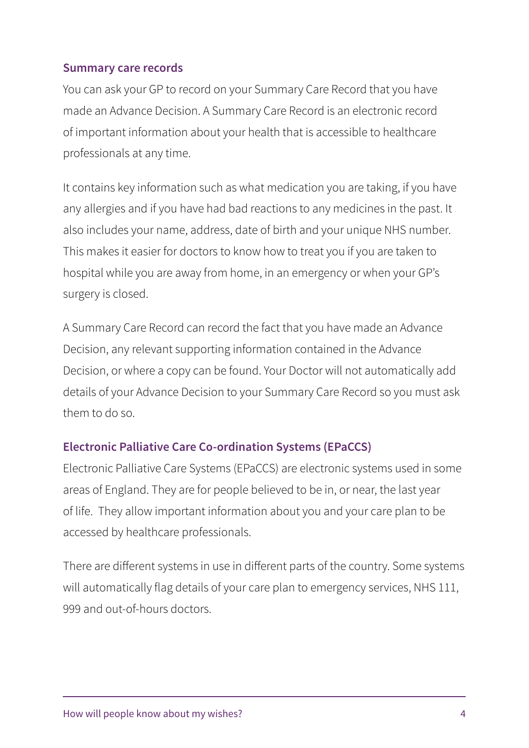#### **Summary care records**

You can ask your GP to record on your Summary Care Record that you have made an Advance Decision. A Summary Care Record is an electronic record of important information about your health that is accessible to healthcare professionals at any time.

It contains key information such as what medication you are taking, if you have any allergies and if you have had bad reactions to any medicines in the past. It also includes your name, address, date of birth and your unique NHS number. This makes it easier for doctors to know how to treat you if you are taken to hospital while you are away from home, in an emergency or when your GP's surgery is closed.

A Summary Care Record can record the fact that you have made an Advance Decision, any relevant supporting information contained in the Advance Decision, or where a copy can be found. Your Doctor will not automatically add details of your Advance Decision to your Summary Care Record so you must ask them to do so.

### **Electronic Palliative Care Co-ordination Systems (EPaCCS)**

Electronic Palliative Care Systems (EPaCCS) are electronic systems used in some areas of England. They are for people believed to be in, or near, the last year of life. They allow important information about you and your care plan to be accessed by healthcare professionals.

There are different systems in use in different parts of the country. Some systems will automatically flag details of your care plan to emergency services, NHS 111, 999 and out-of-hours doctors.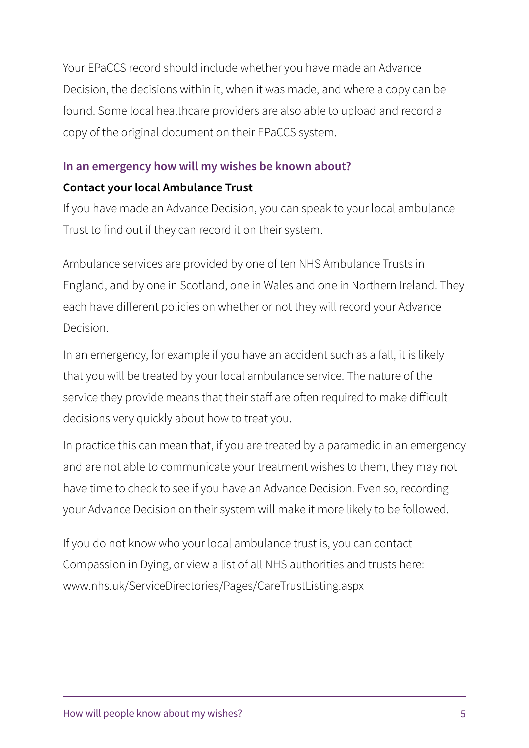Your EPaCCS record should include whether you have made an Advance Decision, the decisions within it, when it was made, and where a copy can be found. Some local healthcare providers are also able to upload and record a copy of the original document on their EPaCCS system.

## **In an emergency how will my wishes be known about?**

## **Contact your local Ambulance Trust**

If you have made an Advance Decision, you can speak to your local ambulance Trust to find out if they can record it on their system.

Ambulance services are provided by one of ten NHS Ambulance Trusts in England, and by one in Scotland, one in Wales and one in Northern Ireland. They each have different policies on whether or not they will record your Advance Decision.

In an emergency, for example if you have an accident such as a fall, it is likely that you will be treated by your local ambulance service. The nature of the service they provide means that their staff are often required to make difficult decisions very quickly about how to treat you.

In practice this can mean that, if you are treated by a paramedic in an emergency and are not able to communicate your treatment wishes to them, they may not have time to check to see if you have an Advance Decision. Even so, recording your Advance Decision on their system will make it more likely to be followed.

If you do not know who your local ambulance trust is, you can contact Compassion in Dying, or view a list of all NHS authorities and trusts here: www.nhs.uk/ServiceDirectories/Pages/CareTrustListing.aspx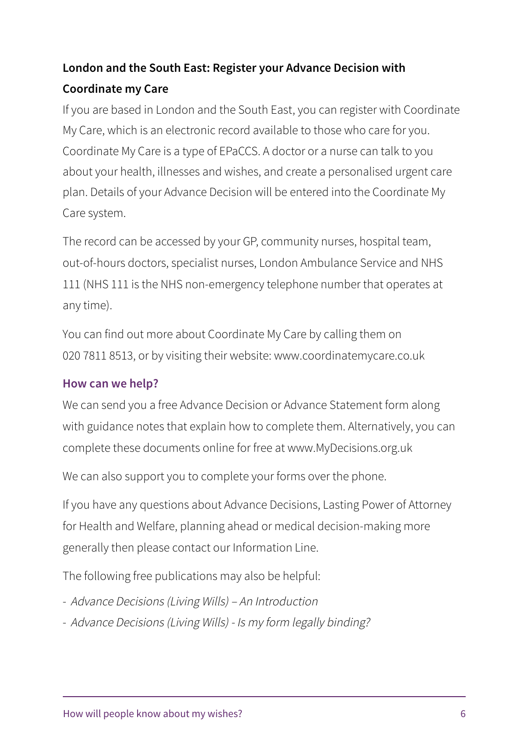# London and the South East: Register your Advance Decision with **Coordinate my Care**

If you are based in London and the South East, you can register with Coordinate My Care, which is an electronic record available to those who care for you. Coordinate My Care is a type of EPaCCS. A doctor or a nurse can talk to you about your health, illnesses and wishes, and create a personalised urgent care plan. Details of your Advance Decision will be entered into the Coordinate My Care system.

The record can be accessed by your GP, community nurses, hospital team, out-of-hours doctors, specialist nurses, London Ambulance Service and NHS 111 (NHS 111 is the NHS non-emergency telephone number that operates at any time).

You can find out more about Coordinate My Care by calling them on 020 7811 8513, or by visiting their website: www.coordinatemycare.co.uk

### **How can we help?**

We can send you a free Advance Decision or Advance Statement form along with guidance notes that explain how to complete them. Alternatively, you can complete these documents online for free at www.MyDecisions.org.uk

We can also support you to complete your forms over the phone.

If you have any questions about Advance Decisions, Lasting Power of Attorney for Health and Welfare, planning ahead or medical decision-making more generally then please contact our Information Line.

The following free publications may also be helpful:

- Advance Decisions (Living Wills) An Introduction
- Advance Decisions (Living Wills) Is my form legally binding?